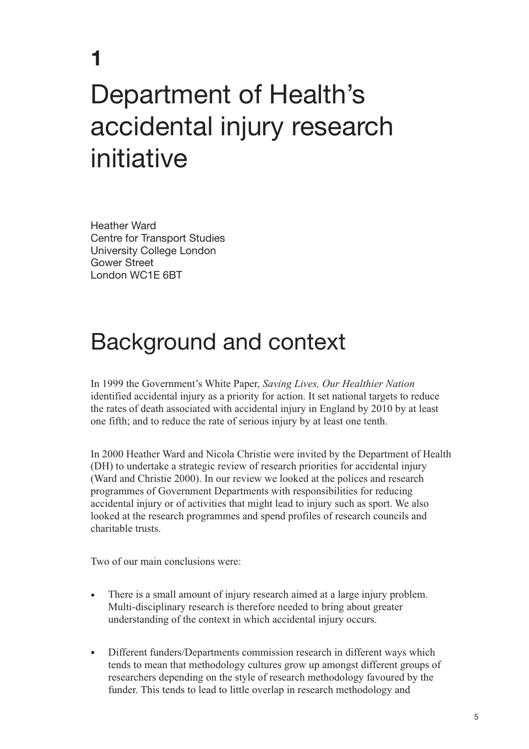# Department of Health's accidental injury research initiative

Heather Ward Centre for Transport Studies University College London Gower Street London WC1E 6BT

**1**

# Background and context

In 1999 the Government's White Paper, *Saving Lives, Our Healthier Nation* identified accidental injury as a priority for action. It set national targets to reduce the rates of death associated with accidental injury in England by 2010 by at least one fifth; and to reduce the rate of serious injury by at least one tenth.

In 2000 Heather Ward and Nicola Christie were invited by the Department of Health (DH) to undertake a strategic review of research priorities for accidental injury (Ward and Christie 2000). In our review we looked at the polices and research programmes of Government Departments with responsibilities for reducing accidental injury or of activities that might lead to injury such as sport. We also looked at the research programmes and spend profiles of research councils and charitable trusts.

Two of our main conclusions were:

- There is a small amount of injury research aimed at a large injury problem. Multi-disciplinary research is therefore needed to bring about greater understanding of the context in which accidental injury occurs.
- Different funders/Departments commission research in different ways which tends to mean that methodology cultures grow up amongst different groups of researchers depending on the style of research methodology favoured by the funder. This tends to lead to little overlap in research methodology and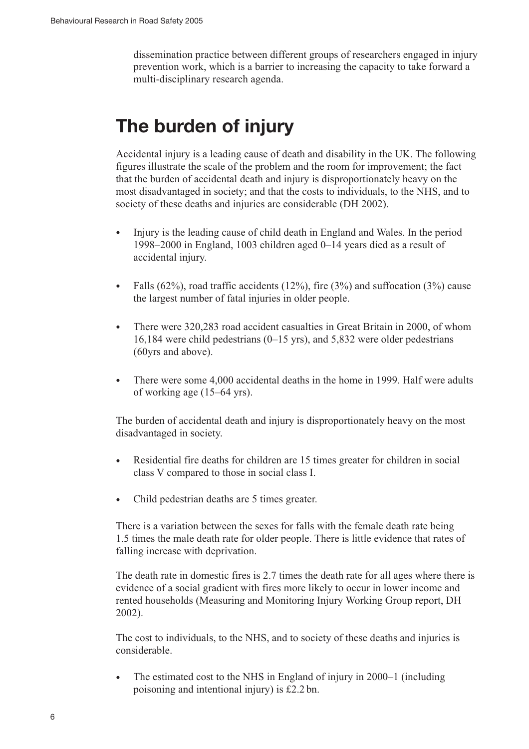dissemination practice between different groups of researchers engaged in injury prevention work, which is a barrier to increasing the capacity to take forward a multi-disciplinary research agenda.

### **The burden of injury**

Accidental injury is a leading cause of death and disability in the UK. The following figures illustrate the scale of the problem and the room for improvement; the fact that the burden of accidental death and injury is disproportionately heavy on the most disadvantaged in society; and that the costs to individuals, to the NHS, and to society of these deaths and injuries are considerable (DH 2002).

- Injury is the leading cause of child death in England and Wales. In the period 1998–2000 in England, 1003 children aged 0–14 years died as a result of accidental injury.
- Falls  $(62\%)$ , road traffic accidents  $(12\%)$ , fire  $(3\%)$  and suffocation  $(3\%)$  cause the largest number of fatal injuries in older people.
- There were 320,283 road accident casualties in Great Britain in 2000, of whom 16,184 were child pedestrians (0–15 yrs), and 5,832 were older pedestrians (60yrs and above).
- There were some 4,000 accidental deaths in the home in 1999. Half were adults of working age (15–64 yrs).

The burden of accidental death and injury is disproportionately heavy on the most disadvantaged in society.

- Residential fire deaths for children are 15 times greater for children in social class V compared to those in social class I.
- Child pedestrian deaths are 5 times greater.

There is a variation between the sexes for falls with the female death rate being 1.5 times the male death rate for older people. There is little evidence that rates of falling increase with deprivation.

The death rate in domestic fires is 2.7 times the death rate for all ages where there is evidence of a social gradient with fires more likely to occur in lower income and rented households (Measuring and Monitoring Injury Working Group report, DH 2002).

The cost to individuals, to the NHS, and to society of these deaths and injuries is considerable.

• The estimated cost to the NHS in England of injury in 2000–1 (including poisoning and intentional injury) is £2.2 bn.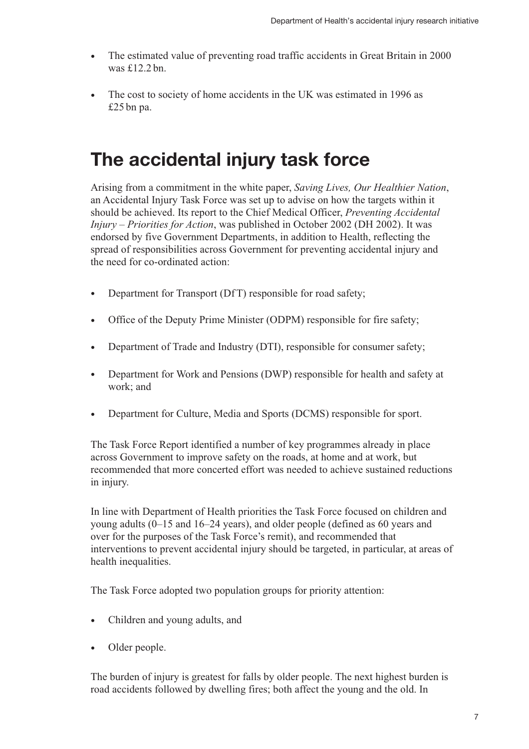- The estimated value of preventing road traffic accidents in Great Britain in 2000 was  $f12.2$  bn.
- The cost to society of home accidents in the UK was estimated in 1996 as £25 bn pa.

### **The accidental injury task force**

Arising from a commitment in the white paper, *Saving Lives, Our Healthier Nation*, an Accidental Injury Task Force was set up to advise on how the targets within it should be achieved. Its report to the Chief Medical Officer, *Preventing Accidental Injury – Priorities for Action*, was published in October 2002 (DH 2002). It was endorsed by five Government Departments, in addition to Health, reflecting the spread of responsibilities across Government for preventing accidental injury and the need for co-ordinated action:

- Department for Transport (Df T) responsible for road safety;
- Office of the Deputy Prime Minister (ODPM) responsible for fire safety;
- Department of Trade and Industry (DTI), responsible for consumer safety;
- Department for Work and Pensions (DWP) responsible for health and safety at work; and
- Department for Culture, Media and Sports (DCMS) responsible for sport.

The Task Force Report identified a number of key programmes already in place across Government to improve safety on the roads, at home and at work, but recommended that more concerted effort was needed to achieve sustained reductions in injury.

In line with Department of Health priorities the Task Force focused on children and young adults (0–15 and 16–24 years), and older people (defined as 60 years and over for the purposes of the Task Force's remit), and recommended that interventions to prevent accidental injury should be targeted, in particular, at areas of health inequalities.

The Task Force adopted two population groups for priority attention:

- Children and young adults, and
- Older people.

The burden of injury is greatest for falls by older people. The next highest burden is road accidents followed by dwelling fires; both affect the young and the old. In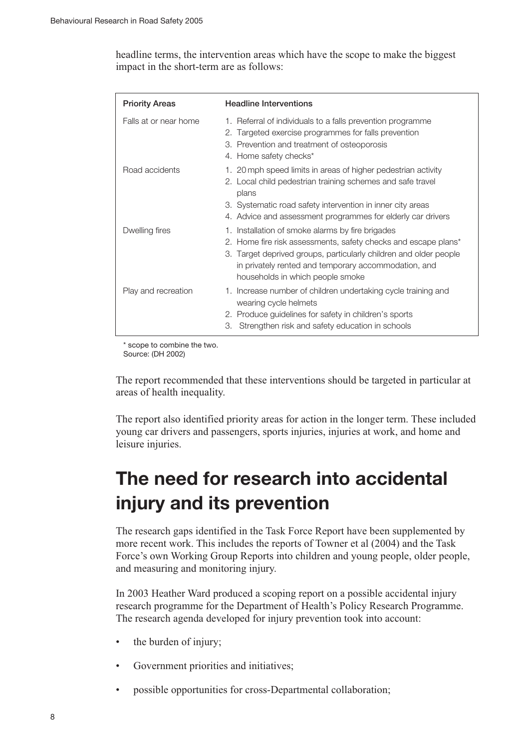headline terms, the intervention areas which have the scope to make the biggest impact in the short-term are as follows:

| <b>Priority Areas</b> | <b>Headline Interventions</b>                                                                                                                                                                                                                                                       |
|-----------------------|-------------------------------------------------------------------------------------------------------------------------------------------------------------------------------------------------------------------------------------------------------------------------------------|
| Falls at or near home | 1. Referral of individuals to a falls prevention programme<br>2. Targeted exercise programmes for falls prevention<br>3. Prevention and treatment of osteoporosis<br>4. Home safety checks*                                                                                         |
| Road accidents        | 1. 20 mph speed limits in areas of higher pedestrian activity<br>2. Local child pedestrian training schemes and safe travel<br>plans<br>3. Systematic road safety intervention in inner city areas<br>4. Advice and assessment programmes for elderly car drivers                   |
| Dwelling fires        | 1. Installation of smoke alarms by fire brigades<br>2. Home fire risk assessments, safety checks and escape plans*<br>3. Target deprived groups, particularly children and older people<br>in privately rented and temporary accommodation, and<br>households in which people smoke |
| Play and recreation   | 1. Increase number of children undertaking cycle training and<br>wearing cycle helmets<br>2. Produce guidelines for safety in children's sports<br>3. Strengthen risk and safety education in schools                                                                               |

\* scope to combine the two. Source: (DH 2002)

The report recommended that these interventions should be targeted in particular at areas of health inequality.

The report also identified priority areas for action in the longer term. These included young car drivers and passengers, sports injuries, injuries at work, and home and leisure injuries.

### **The need for research into accidental injury and its prevention**

The research gaps identified in the Task Force Report have been supplemented by more recent work. This includes the reports of Towner et al (2004) and the Task Force's own Working Group Reports into children and young people, older people, and measuring and monitoring injury.

In 2003 Heather Ward produced a scoping report on a possible accidental injury research programme for the Department of Health's Policy Research Programme. The research agenda developed for injury prevention took into account:

- the burden of injury;
- Government priorities and initiatives;
- possible opportunities for cross-Departmental collaboration;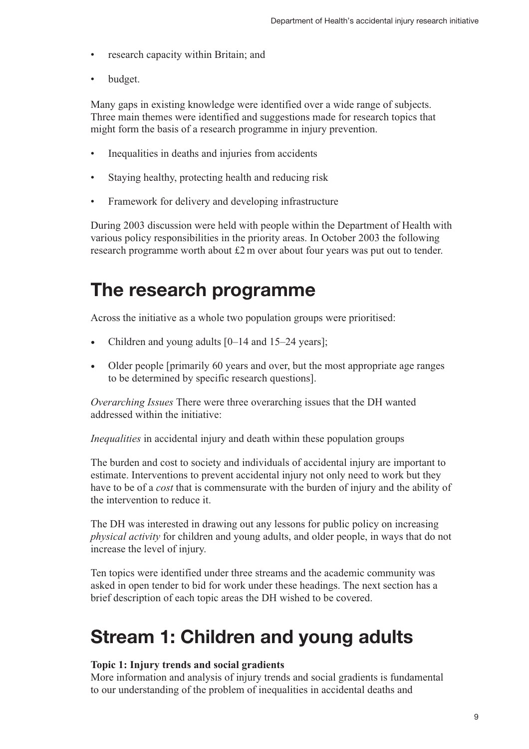- research capacity within Britain; and
- budget.

Many gaps in existing knowledge were identified over a wide range of subjects. Three main themes were identified and suggestions made for research topics that might form the basis of a research programme in injury prevention.

- Inequalities in deaths and injuries from accidents
- Staying healthy, protecting health and reducing risk
- Framework for delivery and developing infrastructure

During 2003 discussion were held with people within the Department of Health with various policy responsibilities in the priority areas. In October 2003 the following research programme worth about £2 m over about four years was put out to tender.

### **The research programme**

Across the initiative as a whole two population groups were prioritised:

- Children and young adults  $[0-14$  and  $15-24$  years];
- Older people [primarily 60 years and over, but the most appropriate age ranges to be determined by specific research questions].

*Overarching Issues* There were three overarching issues that the DH wanted addressed within the initiative:

*Inequalities* in accidental injury and death within these population groups

The burden and cost to society and individuals of accidental injury are important to estimate. Interventions to prevent accidental injury not only need to work but they have to be of a *cost* that is commensurate with the burden of injury and the ability of the intervention to reduce it.

The DH was interested in drawing out any lessons for public policy on increasing *physical activity* for children and young adults, and older people, in ways that do not increase the level of injury.

Ten topics were identified under three streams and the academic community was asked in open tender to bid for work under these headings. The next section has a brief description of each topic areas the DH wished to be covered.

### **Stream 1: Children and young adults**

#### **Topic 1: Injury trends and social gradients**

More information and analysis of injury trends and social gradients is fundamental to our understanding of the problem of inequalities in accidental deaths and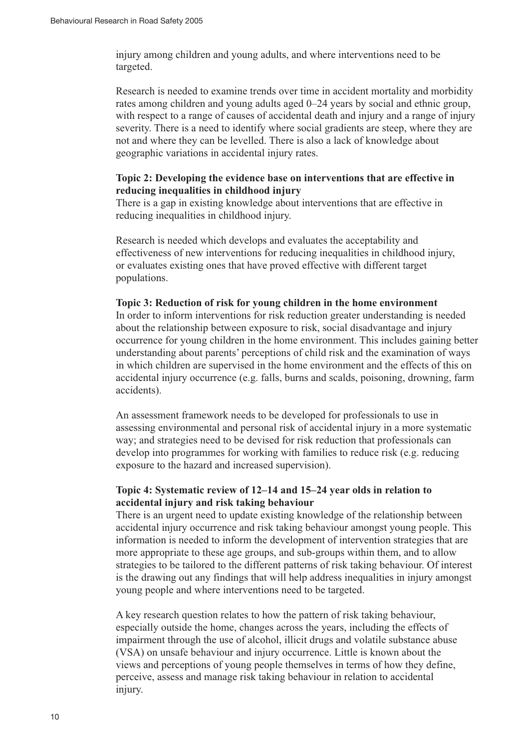injury among children and young adults, and where interventions need to be targeted.

Research is needed to examine trends over time in accident mortality and morbidity rates among children and young adults aged 0–24 years by social and ethnic group, with respect to a range of causes of accidental death and injury and a range of injury severity. There is a need to identify where social gradients are steep, where they are not and where they can be levelled. There is also a lack of knowledge about geographic variations in accidental injury rates.

### **Topic 2: Developing the evidence base on interventions that are effective in reducing inequalities in childhood injury**

There is a gap in existing knowledge about interventions that are effective in reducing inequalities in childhood injury.

Research is needed which develops and evaluates the acceptability and effectiveness of new interventions for reducing inequalities in childhood injury, or evaluates existing ones that have proved effective with different target populations.

#### **Topic 3: Reduction of risk for young children in the home environment**

In order to inform interventions for risk reduction greater understanding is needed about the relationship between exposure to risk, social disadvantage and injury occurrence for young children in the home environment. This includes gaining better understanding about parents' perceptions of child risk and the examination of ways in which children are supervised in the home environment and the effects of this on accidental injury occurrence (e.g. falls, burns and scalds, poisoning, drowning, farm accidents).

An assessment framework needs to be developed for professionals to use in assessing environmental and personal risk of accidental injury in a more systematic way; and strategies need to be devised for risk reduction that professionals can develop into programmes for working with families to reduce risk (e.g. reducing exposure to the hazard and increased supervision).

### **Topic 4: Systematic review of 12–14 and 15–24 year olds in relation to accidental injury and risk taking behaviour**

There is an urgent need to update existing knowledge of the relationship between accidental injury occurrence and risk taking behaviour amongst young people. This information is needed to inform the development of intervention strategies that are more appropriate to these age groups, and sub-groups within them, and to allow strategies to be tailored to the different patterns of risk taking behaviour. Of interest is the drawing out any findings that will help address inequalities in injury amongst young people and where interventions need to be targeted.

A key research question relates to how the pattern of risk taking behaviour, especially outside the home, changes across the years, including the effects of impairment through the use of alcohol, illicit drugs and volatile substance abuse (VSA) on unsafe behaviour and injury occurrence. Little is known about the views and perceptions of young people themselves in terms of how they define, perceive, assess and manage risk taking behaviour in relation to accidental injury.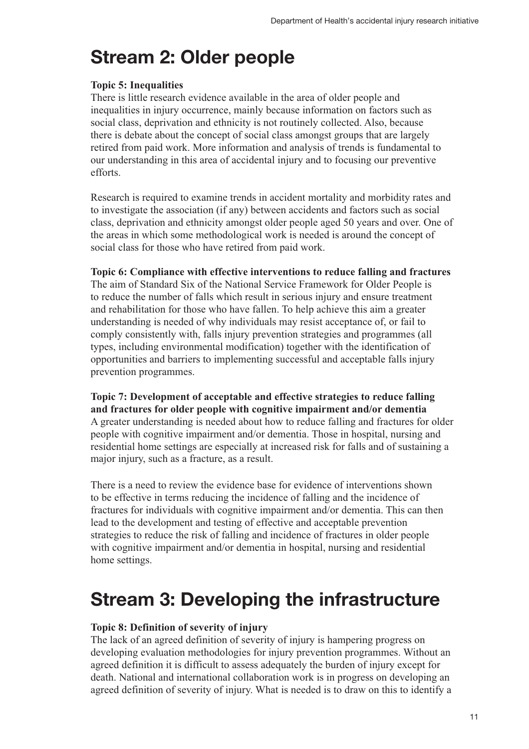### **Stream 2: Older people**

### **Topic 5: Inequalities**

There is little research evidence available in the area of older people and inequalities in injury occurrence, mainly because information on factors such as social class, deprivation and ethnicity is not routinely collected. Also, because there is debate about the concept of social class amongst groups that are largely retired from paid work. More information and analysis of trends is fundamental to our understanding in this area of accidental injury and to focusing our preventive efforts.

Research is required to examine trends in accident mortality and morbidity rates and to investigate the association (if any) between accidents and factors such as social class, deprivation and ethnicity amongst older people aged 50 years and over. One of the areas in which some methodological work is needed is around the concept of social class for those who have retired from paid work.

### **Topic 6: Compliance with effective interventions to reduce falling and fractures**

The aim of Standard Six of the National Service Framework for Older People is to reduce the number of falls which result in serious injury and ensure treatment and rehabilitation for those who have fallen. To help achieve this aim a greater understanding is needed of why individuals may resist acceptance of, or fail to comply consistently with, falls injury prevention strategies and programmes (all types, including environmental modification) together with the identification of opportunities and barriers to implementing successful and acceptable falls injury prevention programmes.

**Topic 7: Development of acceptable and effective strategies to reduce falling and fractures for older people with cognitive impairment and/or dementia** A greater understanding is needed about how to reduce falling and fractures for older people with cognitive impairment and/or dementia. Those in hospital, nursing and residential home settings are especially at increased risk for falls and of sustaining a major injury, such as a fracture, as a result.

There is a need to review the evidence base for evidence of interventions shown to be effective in terms reducing the incidence of falling and the incidence of fractures for individuals with cognitive impairment and/or dementia. This can then lead to the development and testing of effective and acceptable prevention strategies to reduce the risk of falling and incidence of fractures in older people with cognitive impairment and/or dementia in hospital, nursing and residential home settings.

### **Stream 3: Developing the infrastructure**

### **Topic 8: Definition of severity of injury**

The lack of an agreed definition of severity of injury is hampering progress on developing evaluation methodologies for injury prevention programmes. Without an agreed definition it is difficult to assess adequately the burden of injury except for death. National and international collaboration work is in progress on developing an agreed definition of severity of injury. What is needed is to draw on this to identify a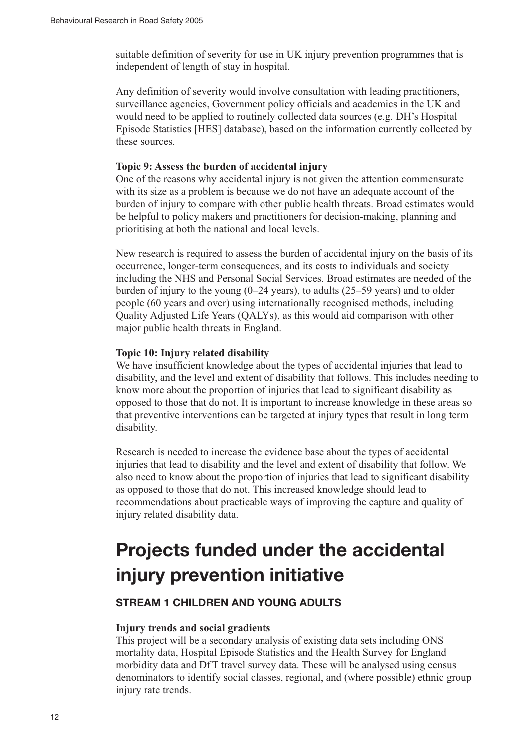suitable definition of severity for use in UK injury prevention programmes that is independent of length of stay in hospital.

Any definition of severity would involve consultation with leading practitioners, surveillance agencies, Government policy officials and academics in the UK and would need to be applied to routinely collected data sources (e.g. DH's Hospital Episode Statistics [HES] database), based on the information currently collected by these sources.

#### **Topic 9: Assess the burden of accidental injury**

One of the reasons why accidental injury is not given the attention commensurate with its size as a problem is because we do not have an adequate account of the burden of injury to compare with other public health threats. Broad estimates would be helpful to policy makers and practitioners for decision-making, planning and prioritising at both the national and local levels.

New research is required to assess the burden of accidental injury on the basis of its occurrence, longer-term consequences, and its costs to individuals and society including the NHS and Personal Social Services. Broad estimates are needed of the burden of injury to the young  $(0-24 \text{ years})$ , to adults  $(25-59 \text{ years})$  and to older people (60 years and over) using internationally recognised methods, including Quality Adjusted Life Years (QALYs), as this would aid comparison with other major public health threats in England.

#### **Topic 10: Injury related disability**

We have insufficient knowledge about the types of accidental injuries that lead to disability, and the level and extent of disability that follows. This includes needing to know more about the proportion of injuries that lead to significant disability as opposed to those that do not. It is important to increase knowledge in these areas so that preventive interventions can be targeted at injury types that result in long term disability.

Research is needed to increase the evidence base about the types of accidental injuries that lead to disability and the level and extent of disability that follow. We also need to know about the proportion of injuries that lead to significant disability as opposed to those that do not. This increased knowledge should lead to recommendations about practicable ways of improving the capture and quality of injury related disability data.

### **Projects funded under the accidental injury prevention initiative**

### **STREAM 1 CHILDREN AND YOUNG ADULTS**

#### **Injury trends and social gradients**

This project will be a secondary analysis of existing data sets including ONS mortality data, Hospital Episode Statistics and the Health Survey for England morbidity data and DfT travel survey data. These will be analysed using census denominators to identify social classes, regional, and (where possible) ethnic group injury rate trends.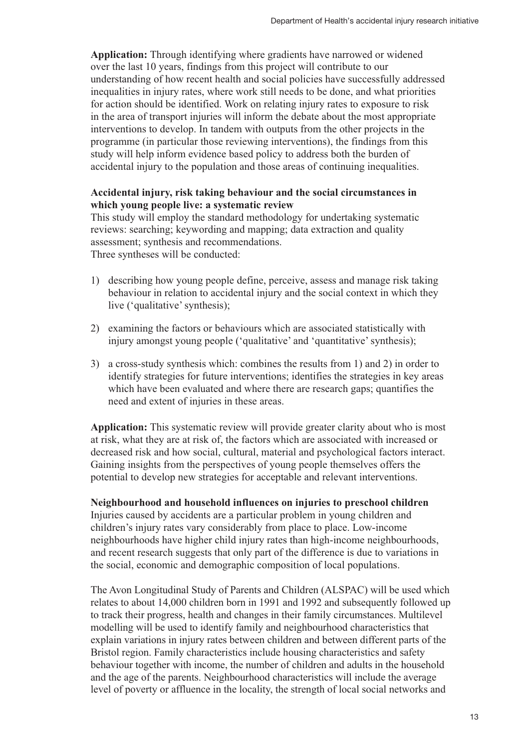**Application:** Through identifying where gradients have narrowed or widened over the last 10 years, findings from this project will contribute to our understanding of how recent health and social policies have successfully addressed inequalities in injury rates, where work still needs to be done, and what priorities for action should be identified. Work on relating injury rates to exposure to risk in the area of transport injuries will inform the debate about the most appropriate interventions to develop. In tandem with outputs from the other projects in the programme (in particular those reviewing interventions), the findings from this study will help inform evidence based policy to address both the burden of accidental injury to the population and those areas of continuing inequalities.

### **Accidental injury, risk taking behaviour and the social circumstances in which young people live: a systematic review**

This study will employ the standard methodology for undertaking systematic reviews: searching; keywording and mapping; data extraction and quality assessment; synthesis and recommendations. Three syntheses will be conducted:

1) describing how young people define, perceive, assess and manage risk taking behaviour in relation to accidental injury and the social context in which they live ('qualitative' synthesis);

- 2) examining the factors or behaviours which are associated statistically with injury amongst young people ('qualitative' and 'quantitative' synthesis);
- 3) a cross-study synthesis which: combines the results from 1) and 2) in order to identify strategies for future interventions; identifies the strategies in key areas which have been evaluated and where there are research gaps; quantifies the need and extent of injuries in these areas.

**Application:** This systematic review will provide greater clarity about who is most at risk, what they are at risk of, the factors which are associated with increased or decreased risk and how social, cultural, material and psychological factors interact. Gaining insights from the perspectives of young people themselves offers the potential to develop new strategies for acceptable and relevant interventions.

**Neighbourhood and household influences on injuries to preschool children** Injuries caused by accidents are a particular problem in young children and children's injury rates vary considerably from place to place. Low-income neighbourhoods have higher child injury rates than high-income neighbourhoods, and recent research suggests that only part of the difference is due to variations in the social, economic and demographic composition of local populations.

The Avon Longitudinal Study of Parents and Children (ALSPAC) will be used which relates to about 14,000 children born in 1991 and 1992 and subsequently followed up to track their progress, health and changes in their family circumstances. Multilevel modelling will be used to identify family and neighbourhood characteristics that explain variations in injury rates between children and between different parts of the Bristol region. Family characteristics include housing characteristics and safety behaviour together with income, the number of children and adults in the household and the age of the parents. Neighbourhood characteristics will include the average level of poverty or affluence in the locality, the strength of local social networks and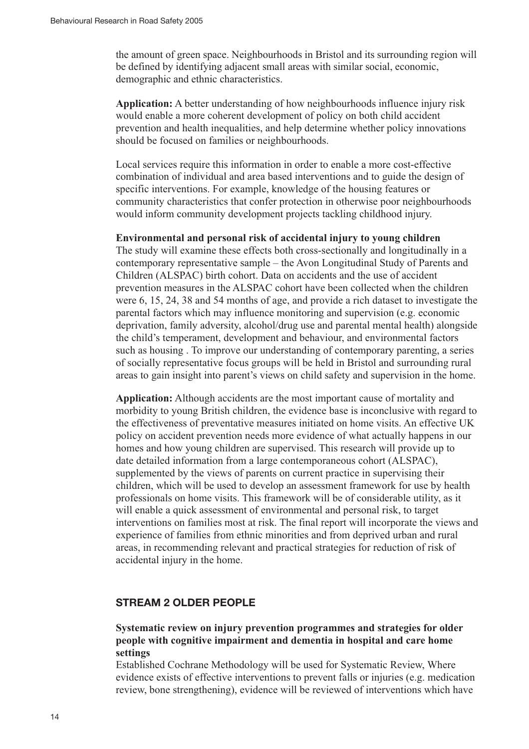the amount of green space. Neighbourhoods in Bristol and its surrounding region will be defined by identifying adjacent small areas with similar social, economic, demographic and ethnic characteristics.

**Application:** A better understanding of how neighbourhoods influence injury risk would enable a more coherent development of policy on both child accident prevention and health inequalities, and help determine whether policy innovations should be focused on families or neighbourhoods.

Local services require this information in order to enable a more cost-effective combination of individual and area based interventions and to guide the design of specific interventions. For example, knowledge of the housing features or community characteristics that confer protection in otherwise poor neighbourhoods would inform community development projects tackling childhood injury.

#### **Environmental and personal risk of accidental injury to young children**

The study will examine these effects both cross-sectionally and longitudinally in a contemporary representative sample – the Avon Longitudinal Study of Parents and Children (ALSPAC) birth cohort. Data on accidents and the use of accident prevention measures in the ALSPAC cohort have been collected when the children were 6, 15, 24, 38 and 54 months of age, and provide a rich dataset to investigate the parental factors which may influence monitoring and supervision (e.g. economic deprivation, family adversity, alcohol/drug use and parental mental health) alongside the child's temperament, development and behaviour, and environmental factors such as housing . To improve our understanding of contemporary parenting, a series of socially representative focus groups will be held in Bristol and surrounding rural areas to gain insight into parent's views on child safety and supervision in the home.

**Application:** Although accidents are the most important cause of mortality and morbidity to young British children, the evidence base is inconclusive with regard to the effectiveness of preventative measures initiated on home visits. An effective UK policy on accident prevention needs more evidence of what actually happens in our homes and how young children are supervised. This research will provide up to date detailed information from a large contemporaneous cohort (ALSPAC), supplemented by the views of parents on current practice in supervising their children, which will be used to develop an assessment framework for use by health professionals on home visits. This framework will be of considerable utility, as it will enable a quick assessment of environmental and personal risk, to target interventions on families most at risk. The final report will incorporate the views and experience of families from ethnic minorities and from deprived urban and rural areas, in recommending relevant and practical strategies for reduction of risk of accidental injury in the home.

### **STREAM 2 OLDER PEOPLE**

### **Systematic review on injury prevention programmes and strategies for older people with cognitive impairment and dementia in hospital and care home settings**

Established Cochrane Methodology will be used for Systematic Review, Where evidence exists of effective interventions to prevent falls or injuries (e.g. medication review, bone strengthening), evidence will be reviewed of interventions which have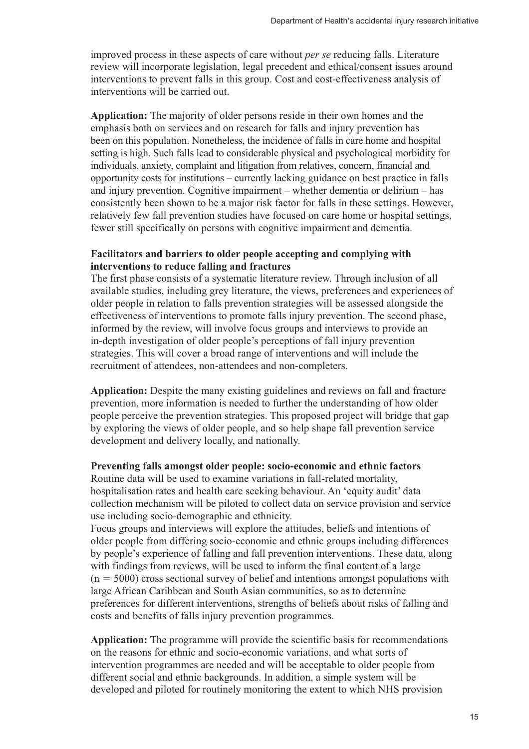improved process in these aspects of care without *per se* reducing falls. Literature review will incorporate legislation, legal precedent and ethical/consent issues around interventions to prevent falls in this group. Cost and cost-effectiveness analysis of interventions will be carried out.

**Application:** The majority of older persons reside in their own homes and the emphasis both on services and on research for falls and injury prevention has been on this population. Nonetheless, the incidence of falls in care home and hospital setting is high. Such falls lead to considerable physical and psychological morbidity for individuals, anxiety, complaint and litigation from relatives, concern, financial and opportunity costs for institutions – currently lacking guidance on best practice in falls and injury prevention. Cognitive impairment – whether dementia or delirium – has consistently been shown to be a major risk factor for falls in these settings. However, relatively few fall prevention studies have focused on care home or hospital settings, fewer still specifically on persons with cognitive impairment and dementia.

### **Facilitators and barriers to older people accepting and complying with interventions to reduce falling and fractures**

The first phase consists of a systematic literature review. Through inclusion of all available studies, including grey literature, the views, preferences and experiences of older people in relation to falls prevention strategies will be assessed alongside the effectiveness of interventions to promote falls injury prevention. The second phase, informed by the review, will involve focus groups and interviews to provide an in-depth investigation of older people's perceptions of fall injury prevention strategies. This will cover a broad range of interventions and will include the recruitment of attendees, non-attendees and non-completers.

**Application:** Despite the many existing guidelines and reviews on fall and fracture prevention, more information is needed to further the understanding of how older people perceive the prevention strategies. This proposed project will bridge that gap by exploring the views of older people, and so help shape fall prevention service development and delivery locally, and nationally.

### **Preventing falls amongst older people: socio-economic and ethnic factors**

Routine data will be used to examine variations in fall-related mortality, hospitalisation rates and health care seeking behaviour. An 'equity audit' data collection mechanism will be piloted to collect data on service provision and service use including socio-demographic and ethnicity.

Focus groups and interviews will explore the attitudes, beliefs and intentions of older people from differing socio-economic and ethnic groups including differences by people's experience of falling and fall prevention interventions. These data, along with findings from reviews, will be used to inform the final content of a large  $(n = 5000)$  cross sectional survey of belief and intentions amongst populations with large African Caribbean and South Asian communities, so as to determine preferences for different interventions, strengths of beliefs about risks of falling and costs and benefits of falls injury prevention programmes.

**Application:** The programme will provide the scientific basis for recommendations on the reasons for ethnic and socio-economic variations, and what sorts of intervention programmes are needed and will be acceptable to older people from different social and ethnic backgrounds. In addition, a simple system will be developed and piloted for routinely monitoring the extent to which NHS provision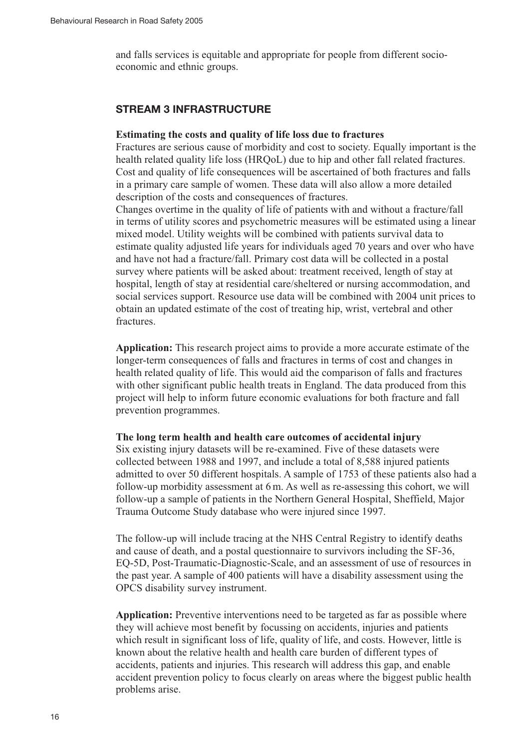and falls services is equitable and appropriate for people from different socioeconomic and ethnic groups.

### **STREAM 3 INFRASTRUCTURE**

#### **Estimating the costs and quality of life loss due to fractures**

Fractures are serious cause of morbidity and cost to society. Equally important is the health related quality life loss (HRQoL) due to hip and other fall related fractures. Cost and quality of life consequences will be ascertained of both fractures and falls in a primary care sample of women. These data will also allow a more detailed description of the costs and consequences of fractures.

Changes overtime in the quality of life of patients with and without a fracture/fall in terms of utility scores and psychometric measures will be estimated using a linear mixed model. Utility weights will be combined with patients survival data to estimate quality adjusted life years for individuals aged 70 years and over who have and have not had a fracture/fall. Primary cost data will be collected in a postal survey where patients will be asked about: treatment received, length of stay at hospital, length of stay at residential care/sheltered or nursing accommodation, and social services support. Resource use data will be combined with 2004 unit prices to obtain an updated estimate of the cost of treating hip, wrist, vertebral and other fractures.

**Application:** This research project aims to provide a more accurate estimate of the longer-term consequences of falls and fractures in terms of cost and changes in health related quality of life. This would aid the comparison of falls and fractures with other significant public health treats in England. The data produced from this project will help to inform future economic evaluations for both fracture and fall prevention programmes.

#### **The long term health and health care outcomes of accidental injury**

Six existing injury datasets will be re-examined. Five of these datasets were collected between 1988 and 1997, and include a total of 8,588 injured patients admitted to over 50 different hospitals. A sample of 1753 of these patients also had a follow-up morbidity assessment at 6 m. As well as re-assessing this cohort, we will follow-up a sample of patients in the Northern General Hospital, Sheffield, Major Trauma Outcome Study database who were injured since 1997.

The follow-up will include tracing at the NHS Central Registry to identify deaths and cause of death, and a postal questionnaire to survivors including the SF-36, EQ-5D, Post-Traumatic-Diagnostic-Scale, and an assessment of use of resources in the past year. A sample of 400 patients will have a disability assessment using the OPCS disability survey instrument.

**Application:** Preventive interventions need to be targeted as far as possible where they will achieve most benefit by focussing on accidents, injuries and patients which result in significant loss of life, quality of life, and costs. However, little is known about the relative health and health care burden of different types of accidents, patients and injuries. This research will address this gap, and enable accident prevention policy to focus clearly on areas where the biggest public health problems arise.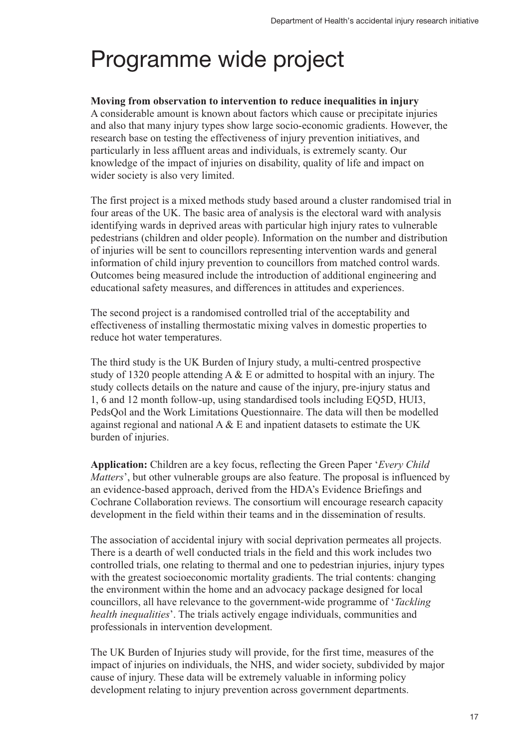# Programme wide project

### **Moving from observation to intervention to reduce inequalities in injury**

A considerable amount is known about factors which cause or precipitate injuries and also that many injury types show large socio-economic gradients. However, the research base on testing the effectiveness of injury prevention initiatives, and particularly in less affluent areas and individuals, is extremely scanty. Our knowledge of the impact of injuries on disability, quality of life and impact on wider society is also very limited.

The first project is a mixed methods study based around a cluster randomised trial in four areas of the UK. The basic area of analysis is the electoral ward with analysis identifying wards in deprived areas with particular high injury rates to vulnerable pedestrians (children and older people). Information on the number and distribution of injuries will be sent to councillors representing intervention wards and general information of child injury prevention to councillors from matched control wards. Outcomes being measured include the introduction of additional engineering and educational safety measures, and differences in attitudes and experiences.

The second project is a randomised controlled trial of the acceptability and effectiveness of installing thermostatic mixing valves in domestic properties to reduce hot water temperatures.

The third study is the UK Burden of Injury study, a multi-centred prospective study of 1320 people attending A & E or admitted to hospital with an injury. The study collects details on the nature and cause of the injury, pre-injury status and 1, 6 and 12 month follow-up, using standardised tools including EQ5D, HUI3, PedsQol and the Work Limitations Questionnaire. The data will then be modelled against regional and national A & E and inpatient datasets to estimate the UK burden of injuries.

**Application:** Children are a key focus, reflecting the Green Paper '*Every Child Matters*', but other vulnerable groups are also feature. The proposal is influenced by an evidence-based approach, derived from the HDA's Evidence Briefings and Cochrane Collaboration reviews. The consortium will encourage research capacity development in the field within their teams and in the dissemination of results.

The association of accidental injury with social deprivation permeates all projects. There is a dearth of well conducted trials in the field and this work includes two controlled trials, one relating to thermal and one to pedestrian injuries, injury types with the greatest socioeconomic mortality gradients. The trial contents: changing the environment within the home and an advocacy package designed for local councillors, all have relevance to the government-wide programme of '*Tackling health inequalities*'. The trials actively engage individuals, communities and professionals in intervention development.

The UK Burden of Injuries study will provide, for the first time, measures of the impact of injuries on individuals, the NHS, and wider society, subdivided by major cause of injury. These data will be extremely valuable in informing policy development relating to injury prevention across government departments.